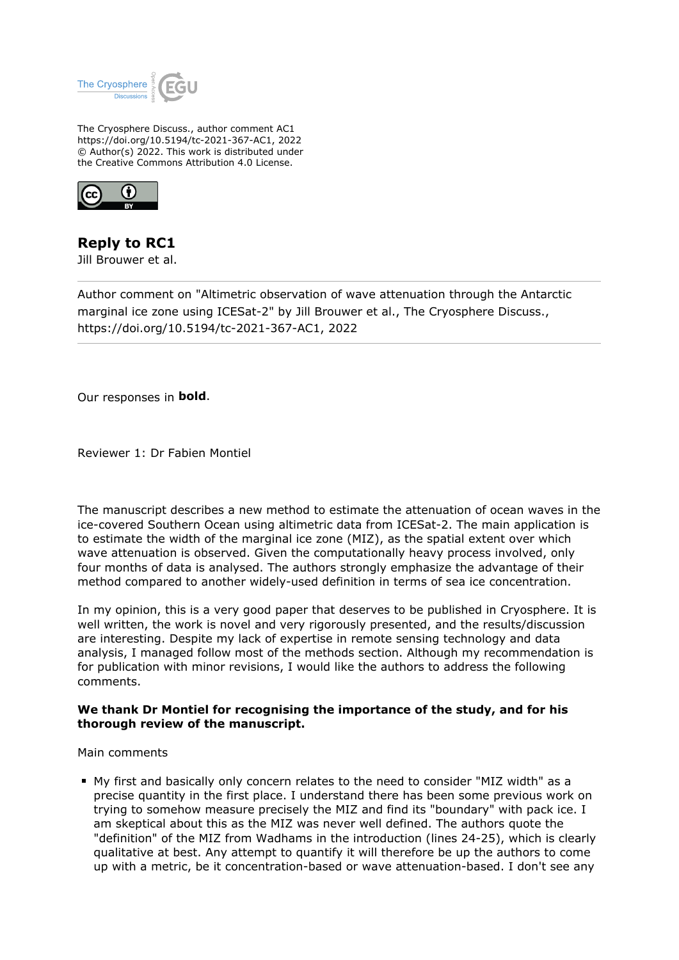

The Cryosphere Discuss., author comment AC1 https://doi.org/10.5194/tc-2021-367-AC1, 2022 © Author(s) 2022. This work is distributed under the Creative Commons Attribution 4.0 License.



**Reply to RC1** Jill Brouwer et al.

Author comment on "Altimetric observation of wave attenuation through the Antarctic marginal ice zone using ICESat-2" by Jill Brouwer et al., The Cryosphere Discuss., https://doi.org/10.5194/tc-2021-367-AC1, 2022

Our responses in **bold**.

Reviewer 1: Dr Fabien Montiel

The manuscript describes a new method to estimate the attenuation of ocean waves in the ice-covered Southern Ocean using altimetric data from ICESat-2. The main application is to estimate the width of the marginal ice zone (MIZ), as the spatial extent over which wave attenuation is observed. Given the computationally heavy process involved, only four months of data is analysed. The authors strongly emphasize the advantage of their method compared to another widely-used definition in terms of sea ice concentration.

In my opinion, this is a very good paper that deserves to be published in Cryosphere. It is well written, the work is novel and very rigorously presented, and the results/discussion are interesting. Despite my lack of expertise in remote sensing technology and data analysis, I managed follow most of the methods section. Although my recommendation is for publication with minor revisions, I would like the authors to address the following comments.

## **We thank Dr Montiel for recognising the importance of the study, and for his thorough review of the manuscript.**

Main comments

My first and basically only concern relates to the need to consider "MIZ width" as a precise quantity in the first place. I understand there has been some previous work on trying to somehow measure precisely the MIZ and find its "boundary" with pack ice. I am skeptical about this as the MIZ was never well defined. The authors quote the "definition" of the MIZ from Wadhams in the introduction (lines 24-25), which is clearly qualitative at best. Any attempt to quantify it will therefore be up the authors to come up with a metric, be it concentration-based or wave attenuation-based. I don't see any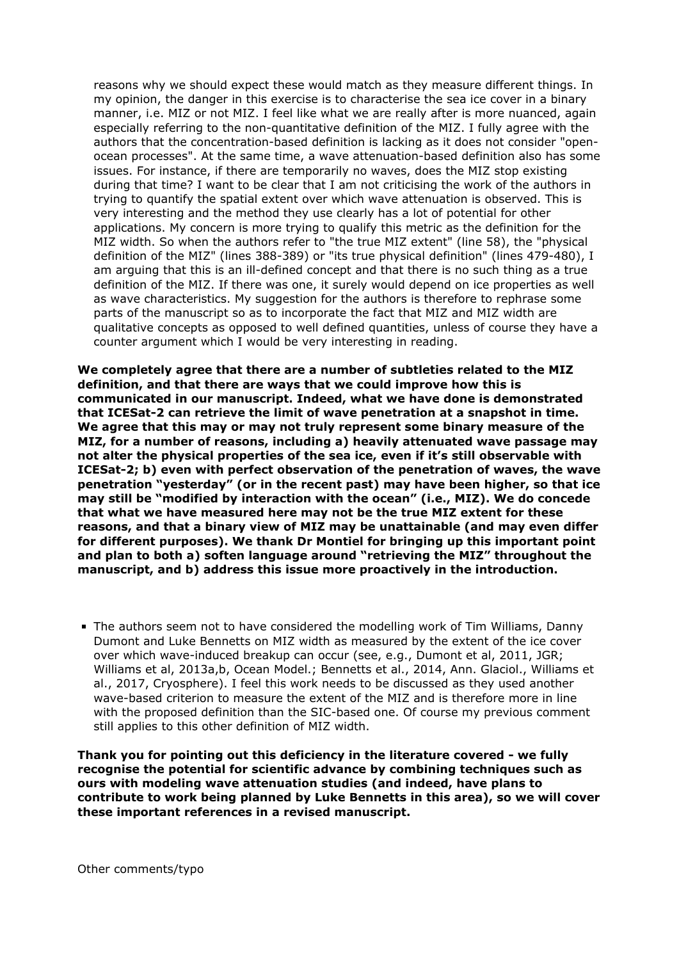reasons why we should expect these would match as they measure different things. In my opinion, the danger in this exercise is to characterise the sea ice cover in a binary manner, i.e. MIZ or not MIZ. I feel like what we are really after is more nuanced, again especially referring to the non-quantitative definition of the MIZ. I fully agree with the authors that the concentration-based definition is lacking as it does not consider "openocean processes". At the same time, a wave attenuation-based definition also has some issues. For instance, if there are temporarily no waves, does the MIZ stop existing during that time? I want to be clear that I am not criticising the work of the authors in trying to quantify the spatial extent over which wave attenuation is observed. This is very interesting and the method they use clearly has a lot of potential for other applications. My concern is more trying to qualify this metric as the definition for the MIZ width. So when the authors refer to "the true MIZ extent" (line 58), the "physical definition of the MIZ" (lines 388-389) or "its true physical definition" (lines 479-480), I am arguing that this is an ill-defined concept and that there is no such thing as a true definition of the MIZ. If there was one, it surely would depend on ice properties as well as wave characteristics. My suggestion for the authors is therefore to rephrase some parts of the manuscript so as to incorporate the fact that MIZ and MIZ width are qualitative concepts as opposed to well defined quantities, unless of course they have a counter argument which I would be very interesting in reading.

**We completely agree that there are a number of subtleties related to the MIZ definition, and that there are ways that we could improve how this is communicated in our manuscript. Indeed, what we have done is demonstrated that ICESat-2 can retrieve the limit of wave penetration at a snapshot in time. We agree that this may or may not truly represent some binary measure of the MIZ, for a number of reasons, including a) heavily attenuated wave passage may not alter the physical properties of the sea ice, even if it's still observable with ICESat-2; b) even with perfect observation of the penetration of waves, the wave penetration "yesterday" (or in the recent past) may have been higher, so that ice may still be "modified by interaction with the ocean" (i.e., MIZ). We do concede that what we have measured here may not be the true MIZ extent for these reasons, and that a binary view of MIZ may be unattainable (and may even differ for different purposes). We thank Dr Montiel for bringing up this important point and plan to both a) soften language around "retrieving the MIZ" throughout the manuscript, and b) address this issue more proactively in the introduction.** 

The authors seem not to have considered the modelling work of Tim Williams, Danny Dumont and Luke Bennetts on MIZ width as measured by the extent of the ice cover over which wave-induced breakup can occur (see, e.g., Dumont et al, 2011, JGR; Williams et al, 2013a,b, Ocean Model.; Bennetts et al., 2014, Ann. Glaciol., Williams et al., 2017, Cryosphere). I feel this work needs to be discussed as they used another wave-based criterion to measure the extent of the MIZ and is therefore more in line with the proposed definition than the SIC-based one. Of course my previous comment still applies to this other definition of MIZ width.

**Thank you for pointing out this deficiency in the literature covered - we fully recognise the potential for scientific advance by combining techniques such as ours with modeling wave attenuation studies (and indeed, have plans to contribute to work being planned by Luke Bennetts in this area), so we will cover these important references in a revised manuscript.**

Other comments/typo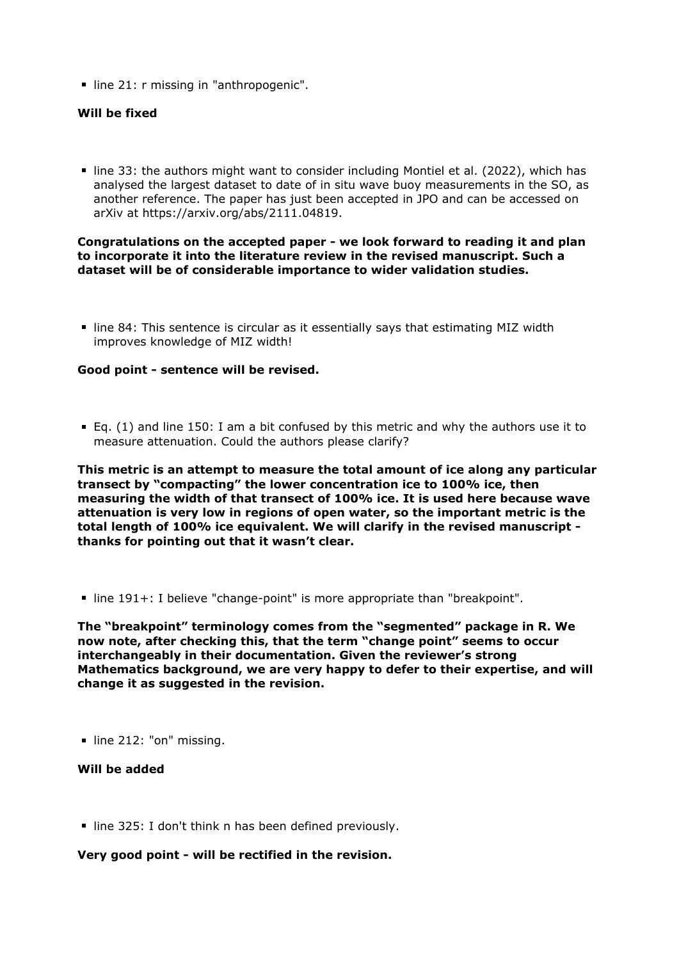line 21: r missing in "anthropogenic".

## **Will be fixed**

line 33: the authors might want to consider including Montiel et al. (2022), which has analysed the largest dataset to date of in situ wave buoy measurements in the SO, as another reference. The paper has just been accepted in JPO and can be accessed on arXiv at https://arxiv.org/abs/2111.04819.

## **Congratulations on the accepted paper - we look forward to reading it and plan to incorporate it into the literature review in the revised manuscript. Such a dataset will be of considerable importance to wider validation studies.**

line 84: This sentence is circular as it essentially says that estimating MIZ width improves knowledge of MIZ width!

### **Good point - sentence will be revised.**

Eq. (1) and line 150: I am a bit confused by this metric and why the authors use it to measure attenuation. Could the authors please clarify?

**This metric is an attempt to measure the total amount of ice along any particular transect by "compacting" the lower concentration ice to 100% ice, then measuring the width of that transect of 100% ice. It is used here because wave attenuation is very low in regions of open water, so the important metric is the total length of 100% ice equivalent. We will clarify in the revised manuscript thanks for pointing out that it wasn't clear.** 

line 191+: I believe "change-point" is more appropriate than "breakpoint".

**The "breakpoint" terminology comes from the "segmented" package in R. We now note, after checking this, that the term "change point" seems to occur interchangeably in their documentation. Given the reviewer's strong Mathematics background, we are very happy to defer to their expertise, and will change it as suggested in the revision.**

line 212: "on" missing.

# **Will be added**

■ line 325: I don't think n has been defined previously.

### **Very good point - will be rectified in the revision.**